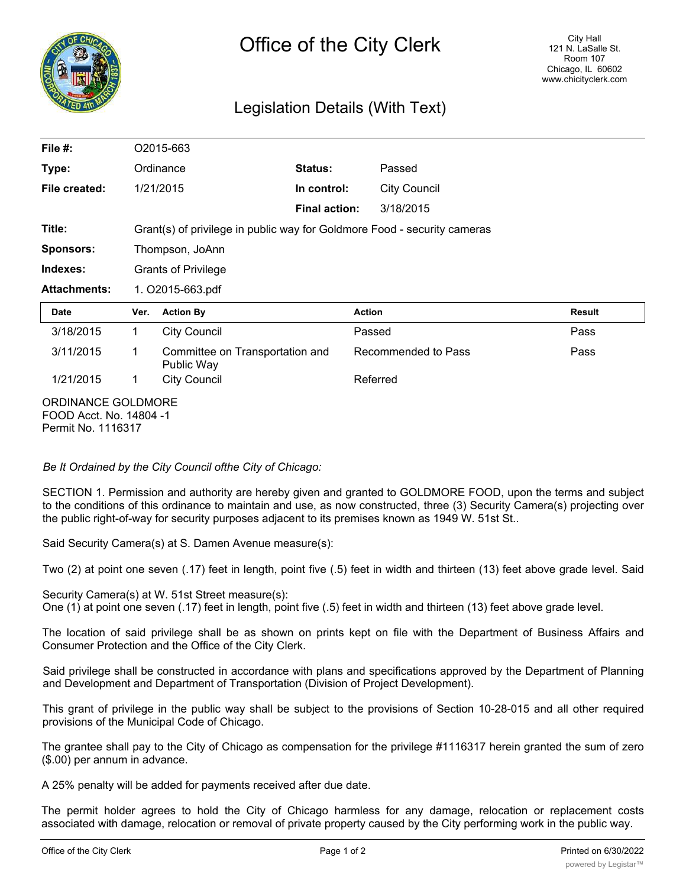

## Legislation Details (With Text)

| File $#$ :                                                          | O2015-663                                                                |                                               |                      |                     |        |
|---------------------------------------------------------------------|--------------------------------------------------------------------------|-----------------------------------------------|----------------------|---------------------|--------|
| Type:                                                               |                                                                          | Ordinance                                     | Status:              | Passed              |        |
| File created:                                                       |                                                                          | 1/21/2015                                     | In control:          | <b>City Council</b> |        |
|                                                                     |                                                                          |                                               | <b>Final action:</b> | 3/18/2015           |        |
| Title:                                                              | Grant(s) of privilege in public way for Goldmore Food - security cameras |                                               |                      |                     |        |
| <b>Sponsors:</b>                                                    | Thompson, JoAnn                                                          |                                               |                      |                     |        |
| Indexes:                                                            | <b>Grants of Privilege</b>                                               |                                               |                      |                     |        |
| <b>Attachments:</b>                                                 | 1. O2015-663.pdf                                                         |                                               |                      |                     |        |
| <b>Date</b>                                                         | Ver.                                                                     | <b>Action By</b>                              |                      | <b>Action</b>       | Result |
| 3/18/2015                                                           | $\mathbf 1$                                                              | <b>City Council</b>                           |                      | Passed              | Pass   |
| 3/11/2015                                                           | 1                                                                        | Committee on Transportation and<br>Public Way |                      | Recommended to Pass | Pass   |
| 1/21/2015                                                           | 1                                                                        | <b>City Council</b>                           |                      | Referred            |        |
| ORDINANCE GOLDMORE<br>FOOD Acct. No. 14804 -1<br>Permit No. 1116317 |                                                                          |                                               |                      |                     |        |

*Be It Ordained by the City Council ofthe City of Chicago:*

SECTION 1. Permission and authority are hereby given and granted to GOLDMORE FOOD, upon the terms and subject to the conditions of this ordinance to maintain and use, as now constructed, three (3) Security Camera(s) projecting over the public right-of-way for security purposes adjacent to its premises known as 1949 W. 51st St..

Said Security Camera(s) at S. Damen Avenue measure(s):

Two (2) at point one seven (.17) feet in length, point five (.5) feet in width and thirteen (13) feet above grade level. Said

Security Camera(s) at W. 51st Street measure(s): One (1) at point one seven (.17) feet in length, point five (.5) feet in width and thirteen (13) feet above grade level.

The location of said privilege shall be as shown on prints kept on file with the Department of Business Affairs and Consumer Protection and the Office of the City Clerk.

Said privilege shall be constructed in accordance with plans and specifications approved by the Department of Planning and Development and Department of Transportation (Division of Project Development).

This grant of privilege in the public way shall be subject to the provisions of Section 10-28-015 and all other required provisions of the Municipal Code of Chicago.

The grantee shall pay to the City of Chicago as compensation for the privilege #1116317 herein granted the sum of zero (\$.00) per annum in advance.

A 25% penalty will be added for payments received after due date.

The permit holder agrees to hold the City of Chicago harmless for any damage, relocation or replacement costs associated with damage, relocation or removal of private property caused by the City performing work in the public way.